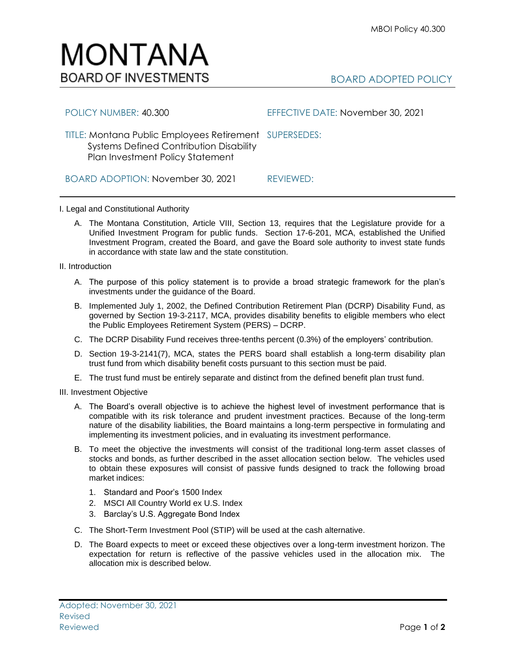

| POLICY NUMBER: 40.300                                                                                                                        | EFFECTIVE DATE: November 30, 2021 |
|----------------------------------------------------------------------------------------------------------------------------------------------|-----------------------------------|
| TITLE: Montana Public Employees Retirement SUPERSEDES:<br><b>Systems Defined Contribution Disability</b><br>Plan Investment Policy Statement |                                   |
| BOARD ADOPTION: November 30, 2021                                                                                                            | REVIEWED:                         |

I. Legal and Constitutional Authority

A. The Montana Constitution, Article VIII, Section 13, requires that the Legislature provide for a Unified Investment Program for public funds. Section 17-6-201, MCA, established the Unified Investment Program, created the Board, and gave the Board sole authority to invest state funds in accordance with state law and the state constitution.

II. Introduction

- A. The purpose of this policy statement is to provide a broad strategic framework for the plan's investments under the guidance of the Board.
- B. Implemented July 1, 2002, the Defined Contribution Retirement Plan (DCRP) Disability Fund, as governed by Section 19-3-2117, MCA, provides disability benefits to eligible members who elect the Public Employees Retirement System (PERS) – DCRP.
- C. The DCRP Disability Fund receives three-tenths percent (0.3%) of the employers' contribution.
- D. Section 19-3-2141(7), MCA, states the PERS board shall establish a long-term disability plan trust fund from which disability benefit costs pursuant to this section must be paid.
- E. The trust fund must be entirely separate and distinct from the defined benefit plan trust fund.

III. Investment Objective

- A. The Board's overall objective is to achieve the highest level of investment performance that is compatible with its risk tolerance and prudent investment practices. Because of the long-term nature of the disability liabilities, the Board maintains a long-term perspective in formulating and implementing its investment policies, and in evaluating its investment performance.
- B. To meet the objective the investments will consist of the traditional long-term asset classes of stocks and bonds, as further described in the asset allocation section below. The vehicles used to obtain these exposures will consist of passive funds designed to track the following broad market indices:
	- 1. Standard and Poor's 1500 Index
	- 2. MSCI All Country World ex U.S. Index
	- 3. Barclay's U.S. Aggregate Bond Index
- C. The Short-Term Investment Pool (STIP) will be used at the cash alternative.
- D. The Board expects to meet or exceed these objectives over a long-term investment horizon. The expectation for return is reflective of the passive vehicles used in the allocation mix. The allocation mix is described below.